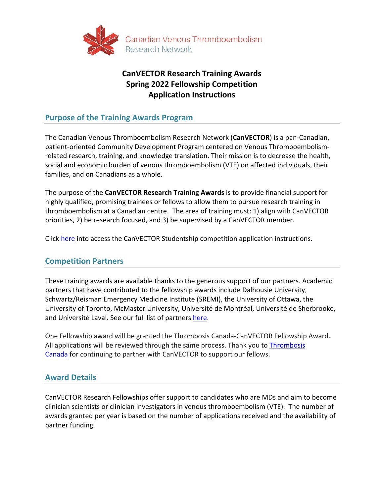

# **CanVECTOR Research Training Awards Spring 2022 Fellowship Competition Application Instructions**

# **Purpose of the Training Awards Program**

The Canadian Venous Thromboembolism Research Network (**CanVECTOR**) is a pan-Canadian, patient-oriented Community Development Program centered on Venous Thromboembolismrelated research, training, and knowledge translation. Their mission is to decrease the health, social and economic burden of venous thromboembolism (VTE) on affected individuals, their families, and on Canadians as a whole.

The purpose of the **CanVECTOR Research Training Awards** is to provide financial support for highly qualified, promising trainees or fellows to allow them to pursue research training in thromboembolism at a Canadian centre. The area of training must: 1) align with CanVECTOR priorities, 2) be research focused, and 3) be supervised by a CanVECTOR member.

Click [here](https://www.canvector.ca/funding/fellowship-and-studentship/studentship-award-application-instructions.pdf) into access the CanVECTOR Studentship competition application instructions.

# **Competition Partners**

These training awards are available thanks to the generous support of our partners. Academic partners that have contributed to the fellowship awards include Dalhousie University, Schwartz/Reisman Emergency Medicine Institute (SREMI), the University of Ottawa, the University of Toronto, McMaster University, Université de Montréal, Université de Sherbrooke, and Université Laval. See our full list of partners [here.](http://www.canvector.ca/partners.)

One Fellowship award will be granted the Thrombosis Canada-CanVECTOR Fellowship Award. All applications will be reviewed through the same process. Thank you to [Thrombosis](https://thrombosiscanada.ca/)  [Canada](https://thrombosiscanada.ca/) for continuing to partner with CanVECTOR to support our fellows.

# **Award Details**

CanVECTOR Research Fellowships offer support to candidates who are MDs and aim to become clinician scientists or clinician investigators in venous thromboembolism (VTE). The number of awards granted per year is based on the number of applications received and the availability of partner funding.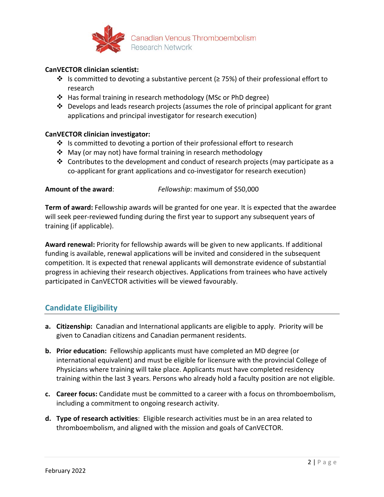

#### **CanVECTOR clinician scientist:**

- $\cdot$  Is committed to devoting a substantive percent (≥ 75%) of their professional effort to research
- Has formal training in research methodology (MSc or PhD degree)
- Develops and leads research projects (assumes the role of principal applicant for grant applications and principal investigator for research execution)

#### **CanVECTOR clinician investigator:**

- $\div$  Is committed to devoting a portion of their professional effort to research
- May (or may not) have formal training in research methodology
- $\div$  Contributes to the development and conduct of research projects (may participate as a co-applicant for grant applications and co-investigator for research execution)

**Amount of the award**: *Fellowship*: maximum of \$50,000

**Term of award:** Fellowship awards will be granted for one year. It is expected that the awardee will seek peer-reviewed funding during the first year to support any subsequent years of training (if applicable).

**Award renewal:** Priority for fellowship awards will be given to new applicants. If additional funding is available, renewal applications will be invited and considered in the subsequent competition. It is expected that renewal applicants will demonstrate evidence of substantial progress in achieving their research objectives. Applications from trainees who have actively participated in CanVECTOR activities will be viewed favourably.

# **Candidate Eligibility**

- **a. Citizenship:** Canadian and International applicants are eligible to apply. Priority will be given to Canadian citizens and Canadian permanent residents.
- **b. Prior education:** Fellowship applicants must have completed an MD degree (or international equivalent) and must be eligible for licensure with the provincial College of Physicians where training will take place. Applicants must have completed residency training within the last 3 years. Persons who already hold a faculty position are not eligible.
- **c. Career focus:** Candidate must be committed to a career with a focus on thromboembolism, including a commitment to ongoing research activity.
- **d. Type of research activities**: Eligible research activities must be in an area related to thromboembolism, and aligned with the mission and goals of CanVECTOR.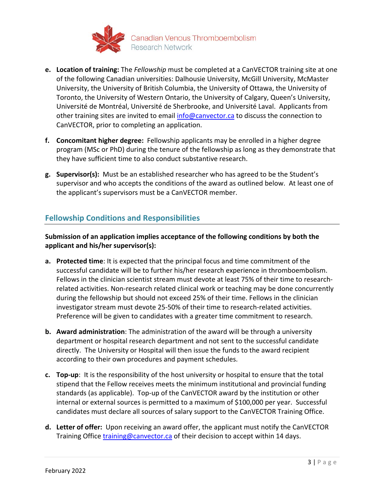

- **e. Location of training:** The *Fellowship* must be completed at a CanVECTOR training site at one of the following Canadian universities: Dalhousie University, McGill University, McMaster University, the University of British Columbia, the University of Ottawa, the University of Toronto, the University of Western Ontario, the University of Calgary, Queen's University, Université de Montréal, Université de Sherbrooke, and Université Laval. Applicants from other training sites are invited to email [info@canvector.ca](mailto:info@canvector.ca) to discuss the connection to CanVECTOR, prior to completing an application.
- **f. Concomitant higher degree:** Fellowship applicants may be enrolled in a higher degree program (MSc or PhD) during the tenure of the fellowship as long as they demonstrate that they have sufficient time to also conduct substantive research.
- **g. Supervisor(s):** Must be an established researcher who has agreed to be the Student's supervisor and who accepts the conditions of the award as outlined below. At least one of the applicant's supervisors must be a CanVECTOR member.

# **Fellowship Conditions and Responsibilities**

**Submission of an application implies acceptance of the following conditions by both the applicant and his/her supervisor(s):** 

- **a. Protected time**: It is expected that the principal focus and time commitment of the successful candidate will be to further his/her research experience in thromboembolism. Fellows in the clinician scientist stream must devote at least 75% of their time to researchrelated activities. Non-research related clinical work or teaching may be done concurrently during the fellowship but should not exceed 25% of their time. Fellows in the clinician investigator stream must devote 25-50% of their time to research-related activities. Preference will be given to candidates with a greater time commitment to research.
- **b. Award administration**: The administration of the award will be through a university department or hospital research department and not sent to the successful candidate directly. The University or Hospital will then issue the funds to the award recipient according to their own procedures and payment schedules.
- **c. Top-up**: It is the responsibility of the host university or hospital to ensure that the total stipend that the Fellow receives meets the minimum institutional and provincial funding standards (as applicable). Top-up of the CanVECTOR award by the institution or other internal or external sources is permitted to a maximum of \$100,000 per year. Successful candidates must declare all sources of salary support to the CanVECTOR Training Office.
- **d. Letter of offer:** Upon receiving an award offer, the applicant must notify the CanVECTOR Training Office [training@canvector.ca](mailto:trainingandmentoring@canvector.ca) of their decision to accept within 14 days.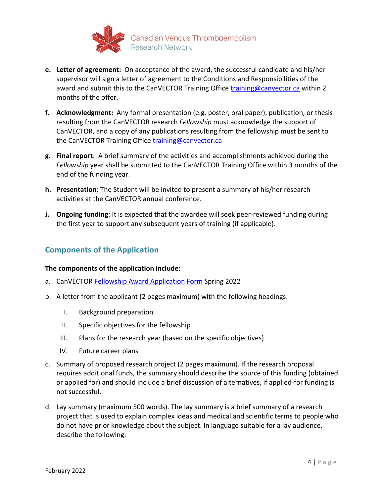

- **e. Letter of agreement:** On acceptance of the award, the successful candidate and his/her supervisor will sign a letter of agreement to the Conditions and Responsibilities of the award and submit this to the CanVECTOR Training Office [training@canvector.ca](mailto:trainingandmentoring@canvector.ca) within 2 months of the offer.
- **f. Acknowledgment:** Any formal presentation (e.g. poster, oral paper), publication, or thesis resulting from the CanVECTOR research *Fellowship* must acknowledge the support of CanVECTOR, and a copy of any publications resulting from the fellowship must be sent to the CanVECTOR Training Office training@canvector.ca
- **g. Final report**: A brief summary of the activities and accomplishments achieved during the *Fellowship* year shall be submitted to the CanVECTOR Training Office within 3 months of the end of the funding year.
- **h. Presentation**: The Student will be invited to present a summary of his/her research activities at the CanVECTOR annual conference.
- **i. Ongoing funding**: It is expected that the awardee will seek peer-reviewed funding during the first year to support any subsequent years of training (if applicable).

# **Components of the Application**

#### **The components of the application include:**

- a. CanVECTOR Fellowship [Award Application Form](https://www.canvector.ca/funding/fellowship-and-studentship/fellowship-award-application-form.pdf) Spring 2022
- b. A letter from the applicant (2 pages maximum) with the following headings:
	- I. Background preparation
	- II. Specific objectives for the fellowship
	- III. Plans for the research year (based on the specific objectives)
	- IV. Future career plans
- c. Summary of proposed research project (2 pages maximum). If the research proposal requires additional funds, the summary should describe the source of this funding (obtained or applied for) and should include a brief discussion of alternatives, if applied-for funding is not successful.
- d. Lay summary (maximum 500 words). The lay summary is a brief summary of a research project that is used to explain complex ideas and medical and scientific terms to people who do not have prior knowledge about the subject. In language suitable for a lay audience, describe the following: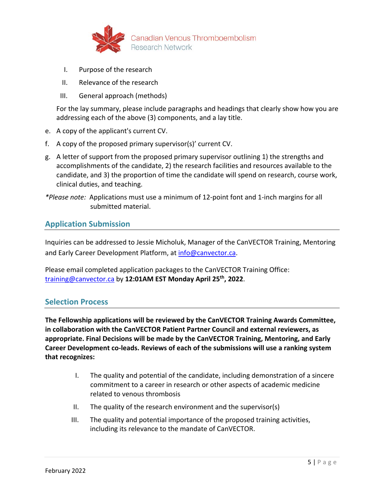

- I. Purpose of the research
- II. Relevance of the research
- III. General approach (methods)

For the lay summary, please include paragraphs and headings that clearly show how you are addressing each of the above (3) components, and a lay title.

- e. A copy of the applicant's current CV.
- f. A copy of the proposed primary supervisor(s)' current CV.
- g. A letter of support from the proposed primary supervisor outlining 1) the strengths and accomplishments of the candidate, 2) the research facilities and resources available to the candidate, and 3) the proportion of time the candidate will spend on research, course work, clinical duties, and teaching.
- *\*Please note:* Applications must use a minimum of 12-point font and 1-inch margins for all submitted material.

# **Application Submission**

Inquiries can be addressed to Jessie Micholuk, Manager of the CanVECTOR Training, Mentoring and Early Career Development Platform, at [info@canvector.ca.](mailto:info@canvector.ca)

Please email completed application packages to the CanVECTOR Training Office: [training@canvector.ca](mailto:trainingandmentoring@canvector.ca) by **12:01AM EST Monday April 25th, 2022**.

### **Selection Process**

**The Fellowship applications will be reviewed by the CanVECTOR Training Awards Committee, in collaboration with the CanVECTOR Patient Partner Council and external reviewers, as appropriate. Final Decisions will be made by the CanVECTOR Training, Mentoring, and Early Career Development co-leads. Reviews of each of the submissions will use a ranking system that recognizes:** 

- I. The quality and potential of the candidate, including demonstration of a sincere commitment to a career in research or other aspects of academic medicine related to venous thrombosis
- II. The quality of the research environment and the supervisor(s)
- III. The quality and potential importance of the proposed training activities, including its relevance to the mandate of CanVECTOR.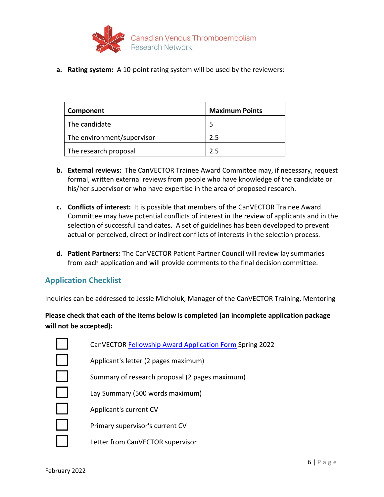

**a. Rating system:** A 10-point rating system will be used by the reviewers:

| Component                  | <b>Maximum Points</b> |
|----------------------------|-----------------------|
| The candidate              |                       |
| The environment/supervisor | 2.5                   |
| The research proposal      | フ5                    |

- **b. External reviews:** The CanVECTOR Trainee Award Committee may, if necessary, request formal, written external reviews from people who have knowledge of the candidate or his/her supervisor or who have expertise in the area of proposed research.
- **c. Conflicts of interest:** It is possible that members of the CanVECTOR Trainee Award Committee may have potential conflicts of interest in the review of applicants and in the selection of successful candidates. A set of guidelines has been developed to prevent actual or perceived, direct or indirect conflicts of interests in the selection process.
- **d. Patient Partners:** The CanVECTOR Patient Partner Council will review lay summaries from each application and will provide comments to the final decision committee.

# **Application Checklist**

Inquiries can be addressed to Jessie Micholuk, Manager of the CanVECTOR Training, Mentoring

**Please check that each of the items below is completed (an incomplete application package will not be accepted):**

| CanVECTOR Fellowship Award Application Form Spring 2022 |
|---------------------------------------------------------|
| Applicant's letter (2 pages maximum)                    |
| Summary of research proposal (2 pages maximum)          |
| Lay Summary (500 words maximum)                         |
| Applicant's current CV                                  |
| Primary supervisor's current CV                         |
| Letter from CanVECTOR supervisor                        |